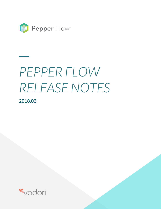

# *PEPPER FLOW RELEASE NOTES*

**2018.03**

**\_\_**

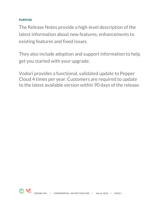## **PURPOSE**

The Release Notes provide a high-level description of the latest information about new features, enhancements to existing features and fixed issues.

They also include adoption and support information to help get you started with your upgrade.

Vodori provides a functional, validated update to Pepper Cloud 4 times per year. Customers are required to update to the latest available version within 90 days of the release.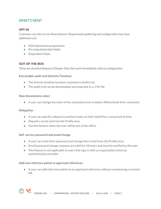# *WHAT'S NEW?*

## **OPT-IN**

*Customers can elect to use these features. Requirements gathering and configuration may incur additional cost.*

- FDA Submission preparation
- Pre-populated date fields.
- Dependent fields.

## **OUT-OF-THE-BOX**

*These are standard features of Pepper Flow that work immediately with no configuration.*

**Extractable audit trail (Activity Timeline)** 

- The Activity timeline has been renamed to Audit trail.
- The audit trail can be downloaded and exported to a .CSV file

#### **New Annotations colors**

● A user can change the color of the annotation icon to better differentiate their comments

#### **Delegation**

- A user can specify a deputy to perform tasks on their behalf for a set period of time.
- Deputies can be set from the Profile area.
- Use this feature when the user will be out of the office.

#### **Self- service password and email change**

- A user can reset their password and change their email from the Profile area.
- Email/password change requests are valid for 24 hours and must be verified by the user.
- This feature is not applicable to users that sign in with an organization external authentication provider.

#### **Add new reference points to approved references**

● A user can add reference points to an approved reference without commencing a revision job